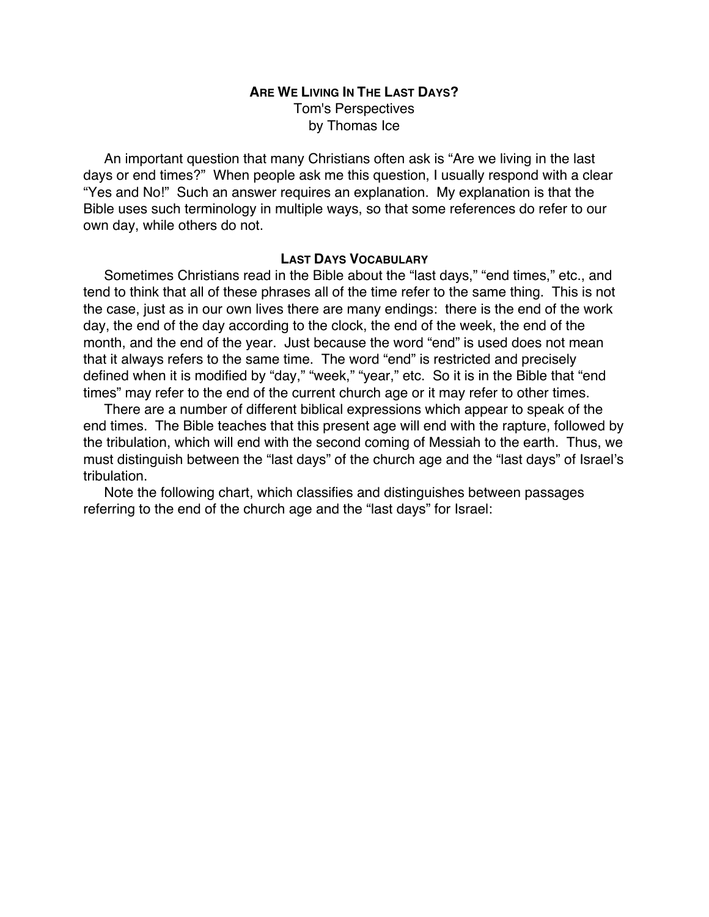## **ARE WE LIVING IN THE LAST DAYS?** Tom's Perspectives by Thomas Ice

An important question that many Christians often ask is "Are we living in the last days or end times?" When people ask me this question, I usually respond with a clear "Yes and No!" Such an answer requires an explanation. My explanation is that the Bible uses such terminology in multiple ways, so that some references do refer to our own day, while others do not.

#### **LAST DAYS VOCABULARY**

Sometimes Christians read in the Bible about the "last days," "end times," etc., and tend to think that all of these phrases all of the time refer to the same thing. This is not the case, just as in our own lives there are many endings: there is the end of the work day, the end of the day according to the clock, the end of the week, the end of the month, and the end of the year. Just because the word "end" is used does not mean that it always refers to the same time. The word "end" is restricted and precisely defined when it is modified by "day," "week," "year," etc. So it is in the Bible that "end times" may refer to the end of the current church age or it may refer to other times.

There are a number of different biblical expressions which appear to speak of the end times. The Bible teaches that this present age will end with the rapture, followed by the tribulation, which will end with the second coming of Messiah to the earth. Thus, we must distinguish between the "last days" of the church age and the "last days" of Israel's tribulation.

Note the following chart, which classifies and distinguishes between passages referring to the end of the church age and the "last days" for Israel: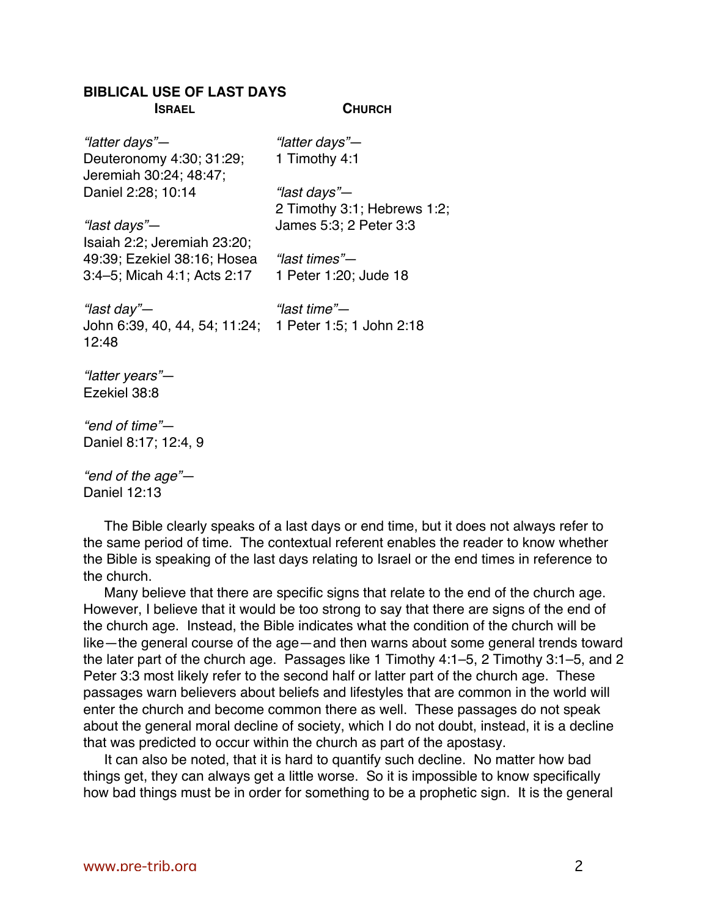# **BIBLICAL USE OF LAST DAYS**

**ISRAEL** "latter days"— Deuteronomy 4:30; 31:29; Jeremiah 30:24; 48:47; Daniel 2:28; 10:14 "last days"— Isaiah 2:2; Jeremiah 23:20; 49:39; Ezekiel 38:16; Hosea 3:4–5; Micah 4:1; Acts 2:17 "last day"— John 6:39, 40, 44, 54; 11:24; 1 Peter 1:5; 1 John 2:18 12:48 "latter years"— Ezekiel 38:8 "end of time"— Daniel 8:17; 12:4, 9 "end of the age"— Daniel 12:13 **CHURCH** "latter days"— 1 Timothy 4:1 "last days"— 2 Timothy 3:1; Hebrews 1:2; James 5:3; 2 Peter 3:3 "last times"— 1 Peter 1:20; Jude 18 "last time"—

The Bible clearly speaks of a last days or end time, but it does not always refer to the same period of time. The contextual referent enables the reader to know whether the Bible is speaking of the last days relating to Israel or the end times in reference to the church.

Many believe that there are specific signs that relate to the end of the church age. However, I believe that it would be too strong to say that there are signs of the end of the church age. Instead, the Bible indicates what the condition of the church will be like—the general course of the age—and then warns about some general trends toward the later part of the church age. Passages like 1 Timothy 4:1–5, 2 Timothy 3:1–5, and 2 Peter 3:3 most likely refer to the second half or latter part of the church age. These passages warn believers about beliefs and lifestyles that are common in the world will enter the church and become common there as well. These passages do not speak about the general moral decline of society, which I do not doubt, instead, it is a decline that was predicted to occur within the church as part of the apostasy.

It can also be noted, that it is hard to quantify such decline. No matter how bad things get, they can always get a little worse. So it is impossible to know specifically how bad things must be in order for something to be a prophetic sign. It is the general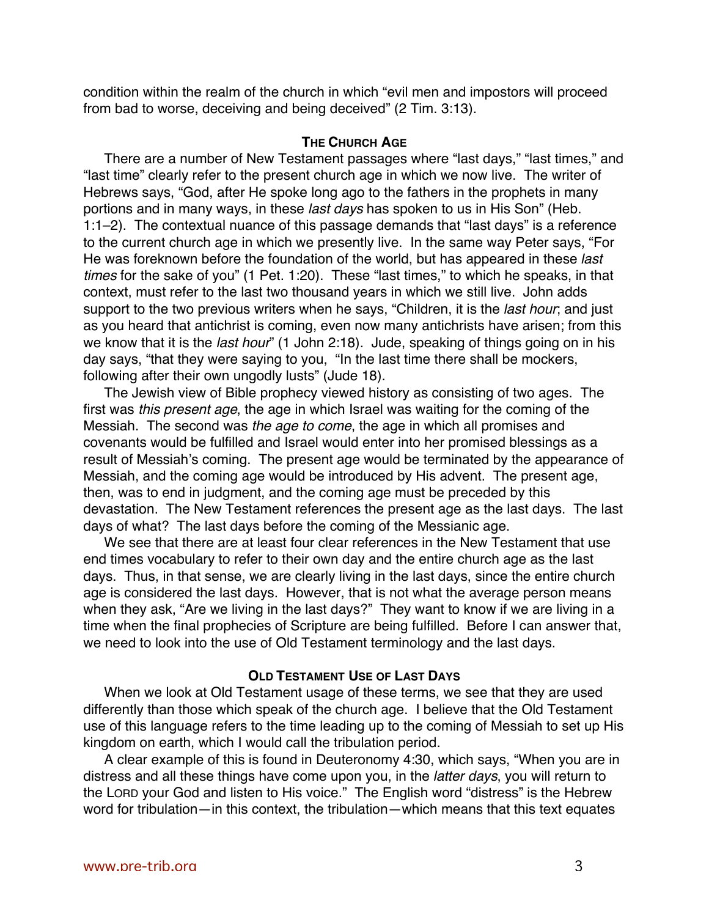condition within the realm of the church in which "evil men and impostors will proceed from bad to worse, deceiving and being deceived" (2 Tim. 3:13).

## **THE CHURCH AGE**

There are a number of New Testament passages where "last days," "last times," and "last time" clearly refer to the present church age in which we now live. The writer of Hebrews says, "God, after He spoke long ago to the fathers in the prophets in many portions and in many ways, in these last days has spoken to us in His Son" (Heb. 1:1–2). The contextual nuance of this passage demands that "last days" is a reference to the current church age in which we presently live. In the same way Peter says, "For He was foreknown before the foundation of the world, but has appeared in these last times for the sake of you" (1 Pet. 1:20). These "last times," to which he speaks, in that context, must refer to the last two thousand years in which we still live. John adds support to the two previous writers when he says, "Children, it is the *last hour*; and just as you heard that antichrist is coming, even now many antichrists have arisen; from this we know that it is the *last hour*" (1 John 2:18). Jude, speaking of things going on in his day says, "that they were saying to you, "In the last time there shall be mockers, following after their own ungodly lusts" (Jude 18).

The Jewish view of Bible prophecy viewed history as consisting of two ages. The first was this present age, the age in which Israel was waiting for the coming of the Messiah. The second was the age to come, the age in which all promises and covenants would be fulfilled and Israel would enter into her promised blessings as a result of Messiah's coming. The present age would be terminated by the appearance of Messiah, and the coming age would be introduced by His advent. The present age, then, was to end in judgment, and the coming age must be preceded by this devastation. The New Testament references the present age as the last days. The last days of what? The last days before the coming of the Messianic age.

We see that there are at least four clear references in the New Testament that use end times vocabulary to refer to their own day and the entire church age as the last days. Thus, in that sense, we are clearly living in the last days, since the entire church age is considered the last days. However, that is not what the average person means when they ask, "Are we living in the last days?" They want to know if we are living in a time when the final prophecies of Scripture are being fulfilled. Before I can answer that, we need to look into the use of Old Testament terminology and the last days.

### **OLD TESTAMENT USE OF LAST DAYS**

When we look at Old Testament usage of these terms, we see that they are used differently than those which speak of the church age. I believe that the Old Testament use of this language refers to the time leading up to the coming of Messiah to set up His kingdom on earth, which I would call the tribulation period.

A clear example of this is found in Deuteronomy 4:30, which says, "When you are in distress and all these things have come upon you, in the latter days, you will return to the LORD your God and listen to His voice." The English word "distress" is the Hebrew word for tribulation—in this context, the tribulation—which means that this text equates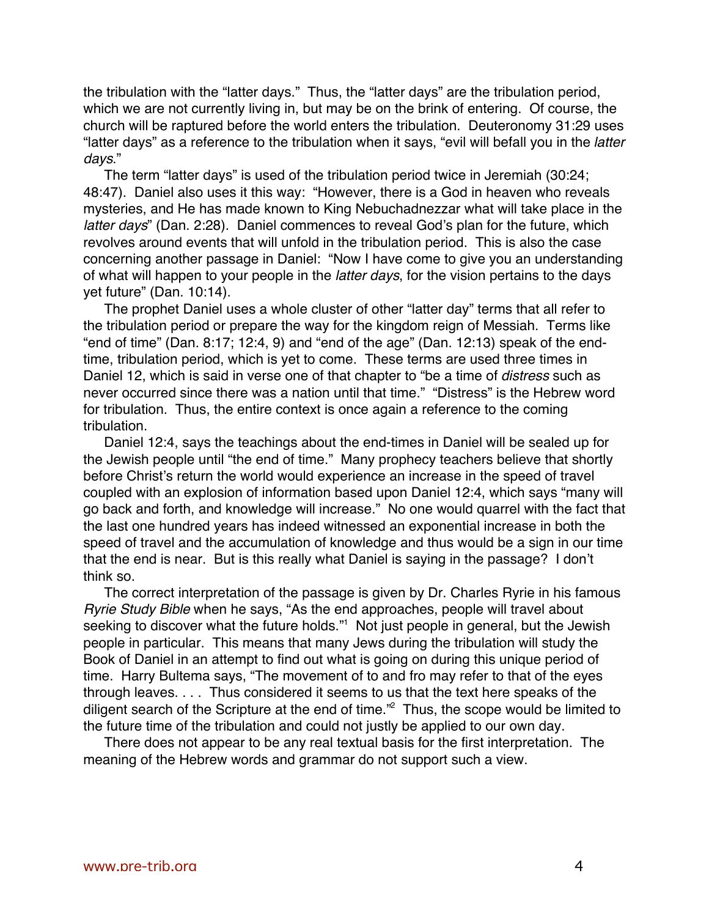the tribulation with the "latter days." Thus, the "latter days" are the tribulation period, which we are not currently living in, but may be on the brink of entering. Of course, the church will be raptured before the world enters the tribulation. Deuteronomy 31:29 uses "latter days" as a reference to the tribulation when it says, "evil will befall you in the latter days."

The term "latter days" is used of the tribulation period twice in Jeremiah (30:24; 48:47). Daniel also uses it this way: "However, there is a God in heaven who reveals mysteries, and He has made known to King Nebuchadnezzar what will take place in the latter days" (Dan. 2:28). Daniel commences to reveal God's plan for the future, which revolves around events that will unfold in the tribulation period. This is also the case concerning another passage in Daniel: "Now I have come to give you an understanding of what will happen to your people in the latter days, for the vision pertains to the days yet future" (Dan. 10:14).

The prophet Daniel uses a whole cluster of other "latter day" terms that all refer to the tribulation period or prepare the way for the kingdom reign of Messiah. Terms like "end of time" (Dan.  $8:17$ ;  $12:4$ ,  $9$ ) and "end of the age" (Dan.  $12:13$ ) speak of the endtime, tribulation period, which is yet to come. These terms are used three times in Daniel 12, which is said in verse one of that chapter to "be a time of *distress* such as never occurred since there was a nation until that time." "Distress" is the Hebrew word for tribulation. Thus, the entire context is once again a reference to the coming tribulation.

Daniel 12:4, says the teachings about the end-times in Daniel will be sealed up for the Jewish people until "the end of time." Many prophecy teachers believe that shortly before Christ's return the world would experience an increase in the speed of travel coupled with an explosion of information based upon Daniel 12:4, which says "many will go back and forth, and knowledge will increase." No one would quarrel with the fact that the last one hundred years has indeed witnessed an exponential increase in both the speed of travel and the accumulation of knowledge and thus would be a sign in our time that the end is near. But is this really what Daniel is saying in the passage? I don't think so.

The correct interpretation of the passage is given by Dr. Charles Ryrie in his famous Ryrie Study Bible when he says, "As the end approaches, people will travel about seeking to discover what the future holds."<sup>1</sup> Not just people in general, but the Jewish people in particular. This means that many Jews during the tribulation will study the Book of Daniel in an attempt to find out what is going on during this unique period of time. Harry Bultema says, "The movement of to and fro may refer to that of the eyes through leaves. . . . Thus considered it seems to us that the text here speaks of the diligent search of the Scripture at the end of time."<sup>2</sup> Thus, the scope would be limited to the future time of the tribulation and could not justly be applied to our own day.

There does not appear to be any real textual basis for the first interpretation. The meaning of the Hebrew words and grammar do not support such a view.